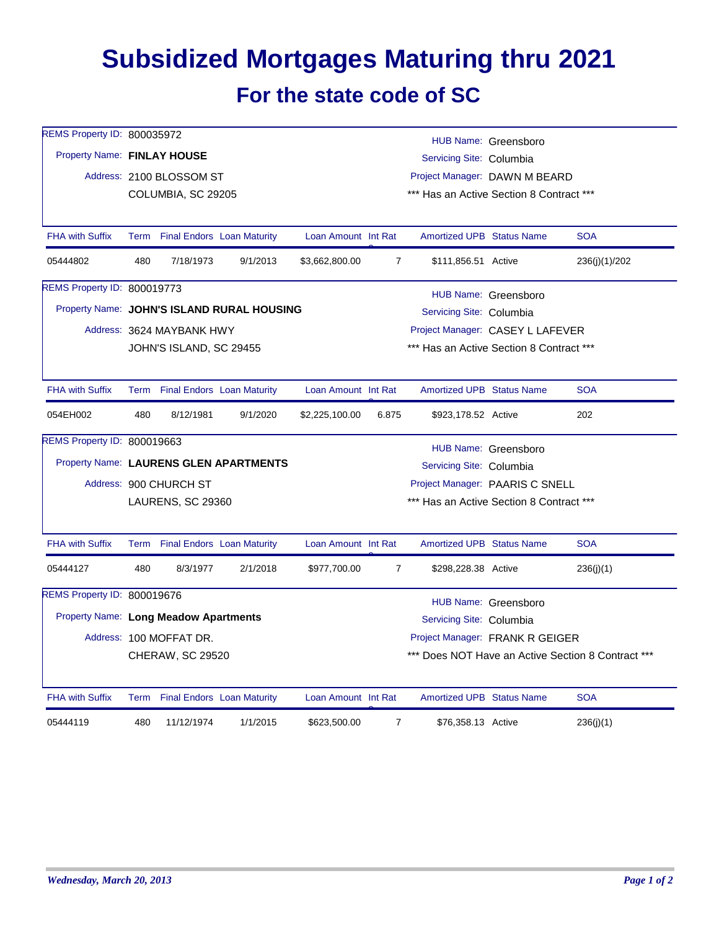## **Subsidized Mortgages Maturing thru 2021 For the state code of SC**

| REMS Property ID: 800035972           |                           |                                 |                                            |                          |                                                    |                                          | HUB Name: Greensboro |               |  |  |
|---------------------------------------|---------------------------|---------------------------------|--------------------------------------------|--------------------------|----------------------------------------------------|------------------------------------------|----------------------|---------------|--|--|
| Property Name: FINLAY HOUSE           |                           |                                 |                                            | Servicing Site: Columbia |                                                    |                                          |                      |               |  |  |
|                                       |                           | Address: 2100 BLOSSOM ST        |                                            |                          |                                                    | Project Manager: DAWN M BEARD            |                      |               |  |  |
|                                       |                           | COLUMBIA, SC 29205              |                                            |                          |                                                    | *** Has an Active Section 8 Contract *** |                      |               |  |  |
| <b>FHA with Suffix</b>                |                           | Term Final Endors Loan Maturity |                                            | Loan Amount Int Rat      |                                                    | <b>Amortized UPB Status Name</b>         |                      | <b>SOA</b>    |  |  |
| 05444802                              | 480                       | 7/18/1973                       | 9/1/2013                                   | \$3,662,800.00           | $\overline{7}$                                     | \$111,856.51 Active                      |                      | 236(j)(1)/202 |  |  |
| REMS Property ID: 800019773           |                           |                                 |                                            |                          |                                                    |                                          | HUB Name: Greensboro |               |  |  |
|                                       |                           |                                 | Property Name: JOHN'S ISLAND RURAL HOUSING |                          |                                                    | Servicing Site: Columbia                 |                      |               |  |  |
|                                       | Address: 3624 MAYBANK HWY |                                 |                                            |                          |                                                    | Project Manager: CASEY L LAFEVER         |                      |               |  |  |
|                                       | JOHN'S ISLAND, SC 29455   |                                 |                                            |                          |                                                    | *** Has an Active Section 8 Contract *** |                      |               |  |  |
| <b>FHA with Suffix</b>                |                           | Term Final Endors Loan Maturity |                                            | Loan Amount Int Rat      |                                                    | <b>Amortized UPB Status Name</b>         |                      | <b>SOA</b>    |  |  |
| 054EH002                              | 480                       | 8/12/1981                       | 9/1/2020                                   | \$2,225,100.00           | 6.875                                              | \$923,178.52 Active                      |                      | 202           |  |  |
| REMS Property ID: 800019663           |                           |                                 |                                            |                          |                                                    |                                          | HUB Name: Greensboro |               |  |  |
|                                       |                           |                                 | Property Name: LAURENS GLEN APARTMENTS     |                          |                                                    | Servicing Site: Columbia                 |                      |               |  |  |
|                                       |                           | Address: 900 CHURCH ST          |                                            |                          |                                                    | Project Manager: PAARIS C SNELL          |                      |               |  |  |
|                                       |                           | <b>LAURENS, SC 29360</b>        |                                            |                          |                                                    | *** Has an Active Section 8 Contract *** |                      |               |  |  |
| <b>FHA with Suffix</b>                |                           | Term Final Endors Loan Maturity |                                            | Loan Amount Int Rat      |                                                    | <b>Amortized UPB Status Name</b>         |                      | <b>SOA</b>    |  |  |
| 05444127                              | 480                       | 8/3/1977                        | 2/1/2018                                   | \$977,700.00             | $\overline{7}$                                     | \$298,228.38 Active                      |                      | 236(i)(1)     |  |  |
| REMS Property ID: 800019676           |                           |                                 |                                            |                          |                                                    |                                          | HUB Name: Greensboro |               |  |  |
| Property Name: Long Meadow Apartments |                           |                                 |                                            |                          | Servicing Site: Columbia                           |                                          |                      |               |  |  |
|                                       |                           | Address: 100 MOFFAT DR.         |                                            |                          |                                                    | Project Manager: FRANK R GEIGER          |                      |               |  |  |
|                                       |                           | <b>CHERAW, SC 29520</b>         |                                            |                          | *** Does NOT Have an Active Section 8 Contract *** |                                          |                      |               |  |  |
| <b>FHA with Suffix</b>                |                           | Term Final Endors Loan Maturity |                                            | Loan Amount Int Rat      |                                                    | <b>Amortized UPB Status Name</b>         |                      | <b>SOA</b>    |  |  |
| 05444119                              | 480                       | 11/12/1974                      | 1/1/2015                                   | \$623,500.00             | $\overline{7}$                                     | \$76,358.13 Active                       |                      | 236(j)(1)     |  |  |